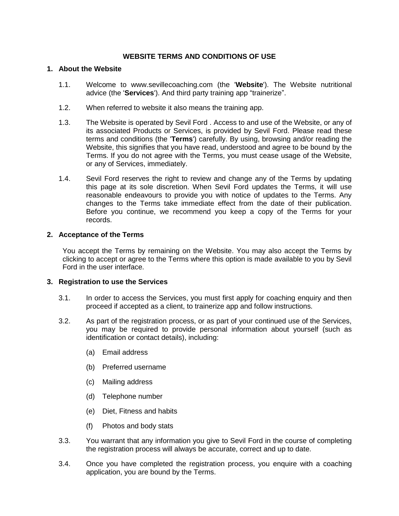# **WEBSITE TERMS AND CONDITIONS OF USE**

#### **1. About the Website**

- 1.1. Welcome to www.sevillecoaching.com (the '**Website**'). The Website nutritional advice (the '**Services**'). And third party training app "trainerize".
- 1.2. When referred to website it also means the training app.
- 1.3. The Website is operated by Sevil Ford . Access to and use of the Website, or any of its associated Products or Services, is provided by Sevil Ford. Please read these terms and conditions (the '**Terms**') carefully. By using, browsing and/or reading the Website, this signifies that you have read, understood and agree to be bound by the Terms. If you do not agree with the Terms, you must cease usage of the Website, or any of Services, immediately.
- 1.4. Sevil Ford reserves the right to review and change any of the Terms by updating this page at its sole discretion. When Sevil Ford updates the Terms, it will use reasonable endeavours to provide you with notice of updates to the Terms. Any changes to the Terms take immediate effect from the date of their publication. Before you continue, we recommend you keep a copy of the Terms for your records.

### **2. Acceptance of the Terms**

You accept the Terms by remaining on the Website. You may also accept the Terms by clicking to accept or agree to the Terms where this option is made available to you by Sevil Ford in the user interface.

### **3. Registration to use the Services**

- 3.1. In order to access the Services, you must first apply for coaching enquiry and then proceed if accepted as a client, to trainerize app and follow instructions.
- 3.2. As part of the registration process, or as part of your continued use of the Services, you may be required to provide personal information about yourself (such as identification or contact details), including:
	- (a) Email address
	- (b) Preferred username
	- (c) Mailing address
	- (d) Telephone number
	- (e) Diet, Fitness and habits
	- (f) Photos and body stats
- 3.3. You warrant that any information you give to Sevil Ford in the course of completing the registration process will always be accurate, correct and up to date.
- 3.4. Once you have completed the registration process, you enquire with a coaching application, you are bound by the Terms.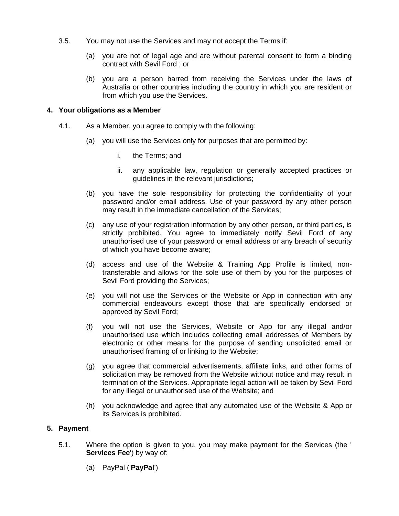- 3.5. You may not use the Services and may not accept the Terms if:
	- (a) you are not of legal age and are without parental consent to form a binding contract with Sevil Ford ; or
	- (b) you are a person barred from receiving the Services under the laws of Australia or other countries including the country in which you are resident or from which you use the Services.

### **4. Your obligations as a Member**

- 4.1. As a Member, you agree to comply with the following:
	- (a) you will use the Services only for purposes that are permitted by:
		- i. the Terms; and
		- ii. any applicable law, regulation or generally accepted practices or guidelines in the relevant jurisdictions;
	- (b) you have the sole responsibility for protecting the confidentiality of your password and/or email address. Use of your password by any other person may result in the immediate cancellation of the Services;
	- (c) any use of your registration information by any other person, or third parties, is strictly prohibited. You agree to immediately notify Sevil Ford of any unauthorised use of your password or email address or any breach of security of which you have become aware;
	- (d) access and use of the Website & Training App Profile is limited, nontransferable and allows for the sole use of them by you for the purposes of Sevil Ford providing the Services;
	- (e) you will not use the Services or the Website or App in connection with any commercial endeavours except those that are specifically endorsed or approved by Sevil Ford;
	- (f) you will not use the Services, Website or App for any illegal and/or unauthorised use which includes collecting email addresses of Members by electronic or other means for the purpose of sending unsolicited email or unauthorised framing of or linking to the Website;
	- (g) you agree that commercial advertisements, affiliate links, and other forms of solicitation may be removed from the Website without notice and may result in termination of the Services. Appropriate legal action will be taken by Sevil Ford for any illegal or unauthorised use of the Website; and
	- (h) you acknowledge and agree that any automated use of the Website & App or its Services is prohibited.

### **5. Payment**

- 5.1. Where the option is given to you, you may make payment for the Services (the ' **Services Fee**') by way of:
	- (a) PayPal ('**PayPal**')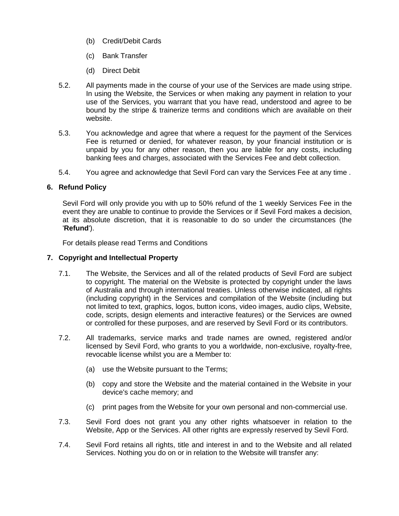- (b) Credit/Debit Cards
- (c) Bank Transfer
- (d) Direct Debit
- 5.2. All payments made in the course of your use of the Services are made using stripe. In using the Website, the Services or when making any payment in relation to your use of the Services, you warrant that you have read, understood and agree to be bound by the stripe & trainerize terms and conditions which are available on their website.
- 5.3. You acknowledge and agree that where a request for the payment of the Services Fee is returned or denied, for whatever reason, by your financial institution or is unpaid by you for any other reason, then you are liable for any costs, including banking fees and charges, associated with the Services Fee and debt collection.
- 5.4. You agree and acknowledge that Sevil Ford can vary the Services Fee at any time .

# **6. Refund Policy**

Sevil Ford will only provide you with up to 50% refund of the 1 weekly Services Fee in the event they are unable to continue to provide the Services or if Sevil Ford makes a decision, at its absolute discretion, that it is reasonable to do so under the circumstances (the '**Refund**').

For details please read Terms and Conditions

# **7. Copyright and Intellectual Property**

- 7.1. The Website, the Services and all of the related products of Sevil Ford are subject to copyright. The material on the Website is protected by copyright under the laws of Australia and through international treaties. Unless otherwise indicated, all rights (including copyright) in the Services and compilation of the Website (including but not limited to text, graphics, logos, button icons, video images, audio clips, Website, code, scripts, design elements and interactive features) or the Services are owned or controlled for these purposes, and are reserved by Sevil Ford or its contributors.
- 7.2. All trademarks, service marks and trade names are owned, registered and/or licensed by Sevil Ford, who grants to you a worldwide, non-exclusive, royalty-free, revocable license whilst you are a Member to:
	- (a) use the Website pursuant to the Terms;
	- (b) copy and store the Website and the material contained in the Website in your device's cache memory; and
	- (c) print pages from the Website for your own personal and non-commercial use.
- 7.3. Sevil Ford does not grant you any other rights whatsoever in relation to the Website, App or the Services. All other rights are expressly reserved by Sevil Ford.
- 7.4. Sevil Ford retains all rights, title and interest in and to the Website and all related Services. Nothing you do on or in relation to the Website will transfer any: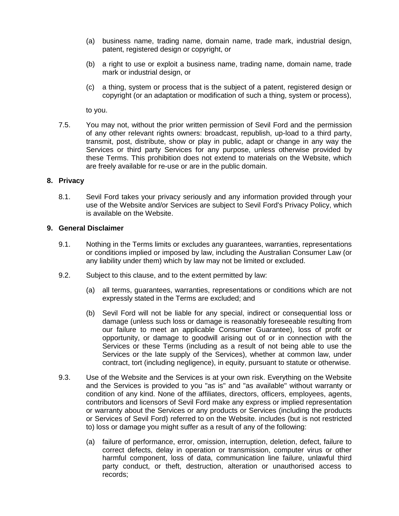- (a) business name, trading name, domain name, trade mark, industrial design, patent, registered design or copyright, or
- (b) a right to use or exploit a business name, trading name, domain name, trade mark or industrial design, or
- (c) a thing, system or process that is the subject of a patent, registered design or copyright (or an adaptation or modification of such a thing, system or process),

to you.

7.5. You may not, without the prior written permission of Sevil Ford and the permission of any other relevant rights owners: broadcast, republish, up-load to a third party, transmit, post, distribute, show or play in public, adapt or change in any way the Services or third party Services for any purpose, unless otherwise provided by these Terms. This prohibition does not extend to materials on the Website, which are freely available for re-use or are in the public domain.

### **8. Privacy**

8.1. Sevil Ford takes your privacy seriously and any information provided through your use of the Website and/or Services are subject to Sevil Ford's Privacy Policy, which is available on the Website.

#### **9. General Disclaimer**

- 9.1. Nothing in the Terms limits or excludes any guarantees, warranties, representations or conditions implied or imposed by law, including the Australian Consumer Law (or any liability under them) which by law may not be limited or excluded.
- 9.2. Subject to this clause, and to the extent permitted by law:
	- (a) all terms, guarantees, warranties, representations or conditions which are not expressly stated in the Terms are excluded; and
	- (b) Sevil Ford will not be liable for any special, indirect or consequential loss or damage (unless such loss or damage is reasonably foreseeable resulting from our failure to meet an applicable Consumer Guarantee), loss of profit or opportunity, or damage to goodwill arising out of or in connection with the Services or these Terms (including as a result of not being able to use the Services or the late supply of the Services), whether at common law, under contract, tort (including negligence), in equity, pursuant to statute or otherwise.
- 9.3. Use of the Website and the Services is at your own risk. Everything on the Website and the Services is provided to you "as is" and "as available" without warranty or condition of any kind. None of the affiliates, directors, officers, employees, agents, contributors and licensors of Sevil Ford make any express or implied representation or warranty about the Services or any products or Services (including the products or Services of Sevil Ford) referred to on the Website. includes (but is not restricted to) loss or damage you might suffer as a result of any of the following:
	- (a) failure of performance, error, omission, interruption, deletion, defect, failure to correct defects, delay in operation or transmission, computer virus or other harmful component, loss of data, communication line failure, unlawful third party conduct, or theft, destruction, alteration or unauthorised access to records;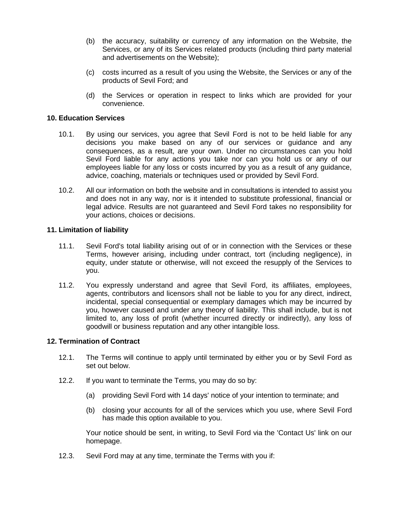- (b) the accuracy, suitability or currency of any information on the Website, the Services, or any of its Services related products (including third party material and advertisements on the Website);
- (c) costs incurred as a result of you using the Website, the Services or any of the products of Sevil Ford; and
- (d) the Services or operation in respect to links which are provided for your convenience.

# **10. Education Services**

- 10.1. By using our services, you agree that Sevil Ford is not to be held liable for any decisions you make based on any of our services or guidance and any consequences, as a result, are your own. Under no circumstances can you hold Sevil Ford liable for any actions you take nor can you hold us or any of our employees liable for any loss or costs incurred by you as a result of any guidance, advice, coaching, materials or techniques used or provided by Sevil Ford.
- 10.2. All our information on both the website and in consultations is intended to assist you and does not in any way, nor is it intended to substitute professional, financial or legal advice. Results are not guaranteed and Sevil Ford takes no responsibility for your actions, choices or decisions.

# **11. Limitation of liability**

- 11.1. Sevil Ford's total liability arising out of or in connection with the Services or these Terms, however arising, including under contract, tort (including negligence), in equity, under statute or otherwise, will not exceed the resupply of the Services to you.
- 11.2. You expressly understand and agree that Sevil Ford, its affiliates, employees, agents, contributors and licensors shall not be liable to you for any direct, indirect, incidental, special consequential or exemplary damages which may be incurred by you, however caused and under any theory of liability. This shall include, but is not limited to, any loss of profit (whether incurred directly or indirectly), any loss of goodwill or business reputation and any other intangible loss.

### **12. Termination of Contract**

- 12.1. The Terms will continue to apply until terminated by either you or by Sevil Ford as set out below.
- 12.2. If you want to terminate the Terms, you may do so by:
	- (a) providing Sevil Ford with 14 days' notice of your intention to terminate; and
	- (b) closing your accounts for all of the services which you use, where Sevil Ford has made this option available to you.

Your notice should be sent, in writing, to Sevil Ford via the 'Contact Us' link on our homepage.

12.3. Sevil Ford may at any time, terminate the Terms with you if: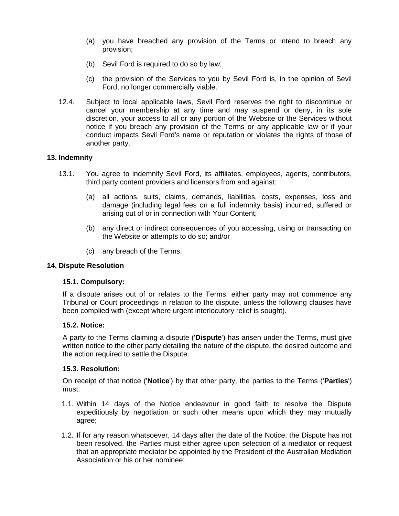- (a) you have breached any provision of the Terms or intend to breach any provision;
- (b) Sevil Ford is required to do so by law;
- (c) the provision of the Services to you by Sevil Ford is, in the opinion of Sevil Ford, no longer commercially viable.
- 12.4. Subject to local applicable laws, Sevil Ford reserves the right to discontinue or cancel your membership at any time and may suspend or deny, in its sole discretion, your access to all or any portion of the Website or the Services without notice if you breach any provision of the Terms or any applicable law or if your conduct impacts Sevil Ford's name or reputation or violates the rights of those of another party.

# **13. Indemnity**

- 13.1. You agree to indemnify Sevil Ford, its affiliates, employees, agents, contributors, third party content providers and licensors from and against:
	- (a) all actions, suits, claims, demands, liabilities, costs, expenses, loss and damage (including legal fees on a full indemnity basis) incurred, suffered or arising out of or in connection with Your Content;
	- (b) any direct or indirect consequences of you accessing, using or transacting on the Website or attempts to do so; and/or
	- (c) any breach of the Terms.

### **14. Dispute Resolution**

### **15.1. Compulsory:**

If a dispute arises out of or relates to the Terms, either party may not commence any Tribunal or Court proceedings in relation to the dispute, unless the following clauses have been complied with (except where urgent interlocutory relief is sought).

### **15.2. Notice:**

A party to the Terms claiming a dispute ('**Dispute**') has arisen under the Terms, must give written notice to the other party detailing the nature of the dispute, the desired outcome and the action required to settle the Dispute.

### **15.3. Resolution:**

On receipt of that notice ('**Notice**') by that other party, the parties to the Terms ('**Parties**') must:

- 1.1. Within 14 days of the Notice endeavour in good faith to resolve the Dispute expeditiously by negotiation or such other means upon which they may mutually agree;
- 1.2. If for any reason whatsoever, 14 days after the date of the Notice, the Dispute has not been resolved, the Parties must either agree upon selection of a mediator or request that an appropriate mediator be appointed by the President of the Australian Mediation Association or his or her nominee;